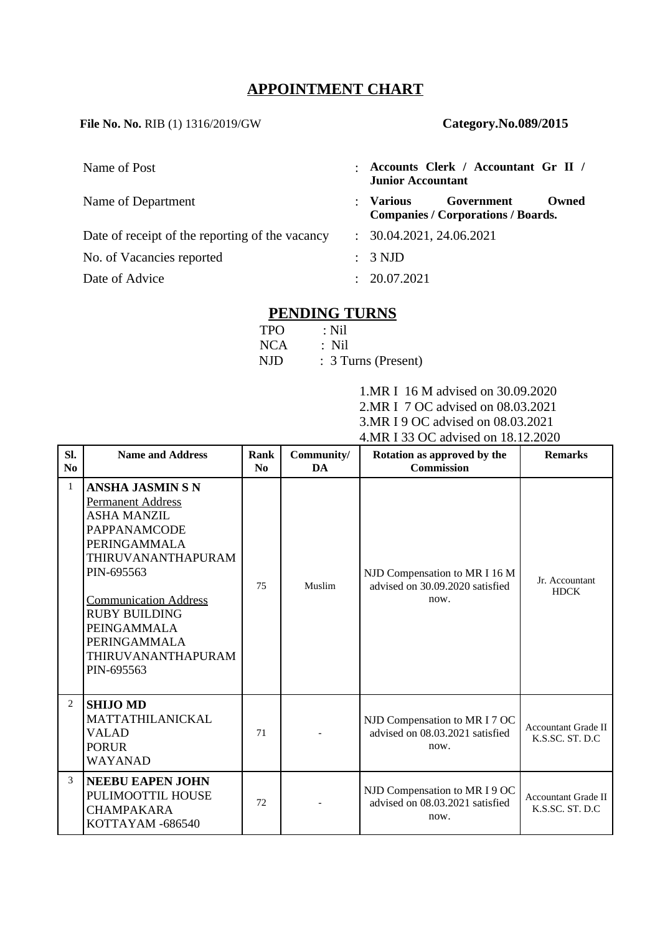## **APPOINTMENT CHART**

**File No. No.** RIB (1) 1316/2019/GW **Category.No.089/2015**

| Name of Post                                    | $\ddot{\phantom{a}}$ | Accounts Clerk / Accountant Gr II /<br><b>Junior Accountant</b>             |  |  |
|-------------------------------------------------|----------------------|-----------------------------------------------------------------------------|--|--|
| Name of Department                              | $\ddot{\phantom{a}}$ | Various<br>Government<br>Owned<br><b>Companies / Corporations / Boards.</b> |  |  |
| Date of receipt of the reporting of the vacancy |                      | : 30.04.2021, 24.06.2021                                                    |  |  |
| No. of Vacancies reported                       |                      | : 3 NJD                                                                     |  |  |
| Date of Advice                                  | ÷                    | 20.07.2021                                                                  |  |  |

## **PENDING TURNS**

| <b>TPO</b> | : Nil               |
|------------|---------------------|
| NCA        | : Nil               |
| NJD.       | : 3 Turns (Present) |

1.MR I 16 M advised on 30.09.2020 2.MR I 7 OC advised on 08.03.2021 3.MR I 9 OC advised on 08.03.2021 4.MR I 33 OC advised on 18.12.2020

| SI.<br>No      | <b>Name and Address</b>                                                                                                                                                                                                                                                                | <b>Rank</b><br>No | Community/<br><b>DA</b> | Rotation as approved by the<br><b>Commission</b>                         | <b>Remarks</b>                                 |
|----------------|----------------------------------------------------------------------------------------------------------------------------------------------------------------------------------------------------------------------------------------------------------------------------------------|-------------------|-------------------------|--------------------------------------------------------------------------|------------------------------------------------|
| $\mathbf{1}$   | <b>ANSHA JASMIN S N</b><br><b>Permanent Address</b><br><b>ASHA MANZIL</b><br><b>PAPPANAMCODE</b><br>PERINGAMMALA<br>THIRUVANANTHAPURAM<br>PIN-695563<br><b>Communication Address</b><br><b>RUBY BUILDING</b><br>PEINGAMMALA<br><b>PERINGAMMALA</b><br>THIRUVANANTHAPURAM<br>PIN-695563 | 75                | Muslim                  | NJD Compensation to MR I 16 M<br>advised on 30.09.2020 satisfied<br>now. | Jr. Accountant<br><b>HDCK</b>                  |
| $\overline{2}$ | <b>SHIJO MD</b><br>MATTATHILANICKAL<br>VALAD<br><b>PORUR</b><br>WAYANAD                                                                                                                                                                                                                | 71                |                         | NJD Compensation to MR I 7 OC<br>advised on 08.03.2021 satisfied<br>now. | <b>Accountant Grade II</b><br>K.S.SC. ST. D.C. |
| 3              | <b>NEEBU EAPEN JOHN</b><br>PULIMOOTTIL HOUSE<br><b>CHAMPAKARA</b><br>KOTTAYAM -686540                                                                                                                                                                                                  | 72                |                         | NJD Compensation to MR I 9 OC<br>advised on 08.03.2021 satisfied<br>now. | <b>Accountant Grade II</b><br>K.S.SC. ST. D.C. |